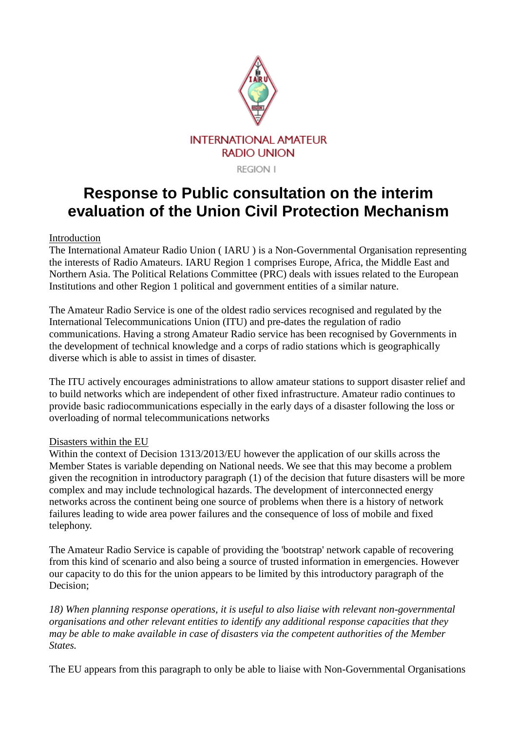

**REGION I** 

# **Response to Public consultation on the interim evaluation of the Union Civil Protection Mechanism**

## Introduction

The International Amateur Radio Union ( IARU ) is a Non-Governmental Organisation representing the interests of Radio Amateurs. IARU Region 1 comprises Europe, Africa, the Middle East and Northern Asia. The Political Relations Committee (PRC) deals with issues related to the European Institutions and other Region 1 political and government entities of a similar nature.

The Amateur Radio Service is one of the oldest radio services recognised and regulated by the International Telecommunications Union (ITU) and pre-dates the regulation of radio communications. Having a strong Amateur Radio service has been recognised by Governments in the development of technical knowledge and a corps of radio stations which is geographically diverse which is able to assist in times of disaster.

The ITU actively encourages administrations to allow amateur stations to support disaster relief and to build networks which are independent of other fixed infrastructure. Amateur radio continues to provide basic radiocommunications especially in the early days of a disaster following the loss or overloading of normal telecommunications networks

### Disasters within the EU

Within the context of Decision 1313/2013/EU however the application of our skills across the Member States is variable depending on National needs. We see that this may become a problem given the recognition in introductory paragraph (1) of the decision that future disasters will be more complex and may include technological hazards. The development of interconnected energy networks across the continent being one source of problems when there is a history of network failures leading to wide area power failures and the consequence of loss of mobile and fixed telephony.

The Amateur Radio Service is capable of providing the 'bootstrap' network capable of recovering from this kind of scenario and also being a source of trusted information in emergencies. However our capacity to do this for the union appears to be limited by this introductory paragraph of the Decision;

*18) When planning response operations, it is useful to also liaise with relevant non-governmental organisations and other relevant entities to identify any additional response capacities that they may be able to make available in case of disasters via the competent authorities of the Member States.*

The EU appears from this paragraph to only be able to liaise with Non-Governmental Organisations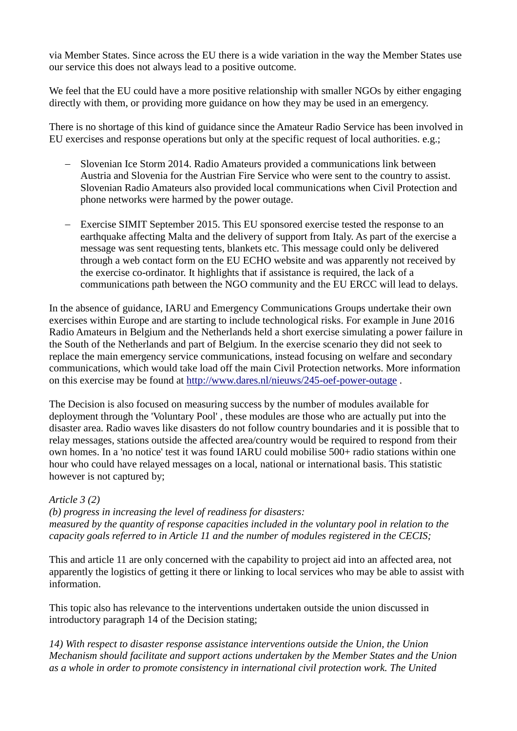via Member States. Since across the EU there is a wide variation in the way the Member States use our service this does not always lead to a positive outcome.

We feel that the EU could have a more positive relationship with smaller NGOs by either engaging directly with them, or providing more guidance on how they may be used in an emergency.

There is no shortage of this kind of guidance since the Amateur Radio Service has been involved in EU exercises and response operations but only at the specific request of local authorities. e.g.;

- Slovenian Ice Storm 2014. Radio Amateurs provided a communications link between Austria and Slovenia for the Austrian Fire Service who were sent to the country to assist. Slovenian Radio Amateurs also provided local communications when Civil Protection and phone networks were harmed by the power outage.
- Exercise SIMIT September 2015. This EU sponsored exercise tested the response to an earthquake affecting Malta and the delivery of support from Italy. As part of the exercise a message was sent requesting tents, blankets etc. This message could only be delivered through a web contact form on the EU ECHO website and was apparently not received by the exercise co-ordinator. It highlights that if assistance is required, the lack of a communications path between the NGO community and the EU ERCC will lead to delays.

In the absence of guidance, IARU and Emergency Communications Groups undertake their own exercises within Europe and are starting to include technological risks. For example in June 2016 Radio Amateurs in Belgium and the Netherlands held a short exercise simulating a power failure in the South of the Netherlands and part of Belgium. In the exercise scenario they did not seek to replace the main emergency service communications, instead focusing on welfare and secondary communications, which would take load off the main Civil Protection networks. More information on this exercise may be found at<http://www.dares.nl/nieuws/245-oef-power-outage> .

The Decision is also focused on measuring success by the number of modules available for deployment through the 'Voluntary Pool' , these modules are those who are actually put into the disaster area. Radio waves like disasters do not follow country boundaries and it is possible that to relay messages, stations outside the affected area/country would be required to respond from their own homes. In a 'no notice' test it was found IARU could mobilise 500+ radio stations within one hour who could have relayed messages on a local, national or international basis. This statistic however is not captured by;

# *Article 3 (2)*

*(b) progress in increasing the level of readiness for disasters: measured by the quantity of response capacities included in the voluntary pool in relation to the capacity goals referred to in Article 11 and the number of modules registered in the CECIS;*

This and article 11 are only concerned with the capability to project aid into an affected area, not apparently the logistics of getting it there or linking to local services who may be able to assist with information.

This topic also has relevance to the interventions undertaken outside the union discussed in introductory paragraph 14 of the Decision stating;

*14) With respect to disaster response assistance interventions outside the Union, the Union Mechanism should facilitate and support actions undertaken by the Member States and the Union as a whole in order to promote consistency in international civil protection work. The United*